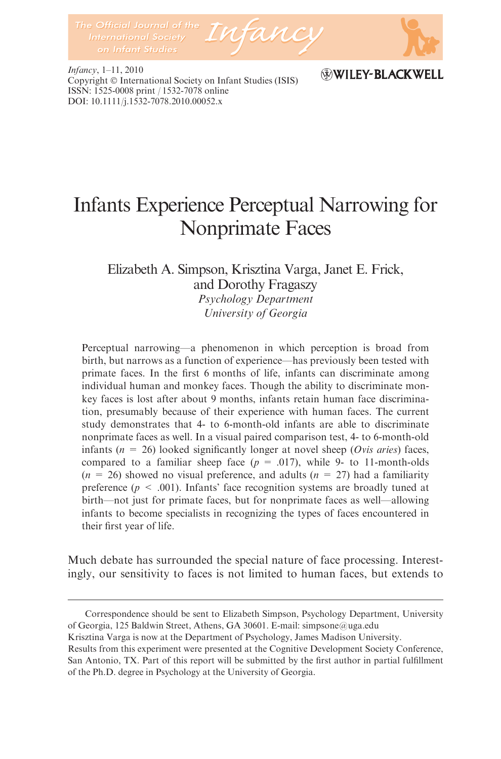

Infancy, 1–11, 2010 Copyright © International Society on Infant Studies (ISIS) ISSN: 1525-0008 print / 1532-7078 online DOI: 10.1111/j.1532-7078.2010.00052.x

## WILEY-BLACKWELL

# Infants Experience Perceptual Narrowing for Nonprimate Faces

Elizabeth A. Simpson, Krisztina Varga, Janet E. Frick, and Dorothy Fragaszy

Psychology Department University of Georgia

Perceptual narrowing—a phenomenon in which perception is broad from birth, but narrows as a function of experience—has previously been tested with primate faces. In the first 6 months of life, infants can discriminate among individual human and monkey faces. Though the ability to discriminate monkey faces is lost after about 9 months, infants retain human face discrimination, presumably because of their experience with human faces. The current study demonstrates that 4- to 6-month-old infants are able to discriminate nonprimate faces as well. In a visual paired comparison test, 4- to 6-month-old infants ( $n = 26$ ) looked significantly longer at novel sheep (*Ovis aries*) faces, compared to a familiar sheep face ( $p = .017$ ), while 9- to 11-month-olds  $(n = 26)$  showed no visual preference, and adults  $(n = 27)$  had a familiarity preference ( $p \le 0.001$ ). Infants' face recognition systems are broadly tuned at birth—not just for primate faces, but for nonprimate faces as well—allowing infants to become specialists in recognizing the types of faces encountered in their first year of life.

Much debate has surrounded the special nature of face processing. Interestingly, our sensitivity to faces is not limited to human faces, but extends to

Correspondence should be sent to Elizabeth Simpson, Psychology Department, University of Georgia, 125 Baldwin Street, Athens, GA 30601. E-mail: simpsone@uga.edu

Krisztina Varga is now at the Department of Psychology, James Madison University.

Results from this experiment were presented at the Cognitive Development Society Conference, San Antonio, TX. Part of this report will be submitted by the first author in partial fulfillment of the Ph.D. degree in Psychology at the University of Georgia.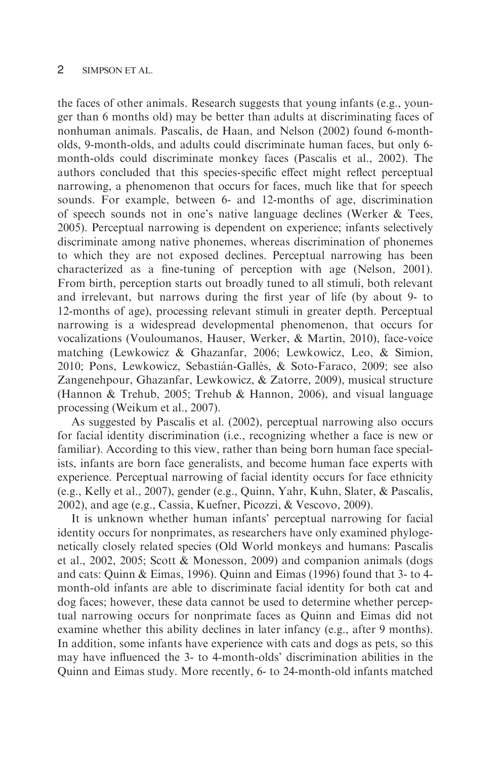the faces of other animals. Research suggests that young infants (e.g., younger than 6 months old) may be better than adults at discriminating faces of nonhuman animals. Pascalis, de Haan, and Nelson (2002) found 6-montholds, 9-month-olds, and adults could discriminate human faces, but only 6 month-olds could discriminate monkey faces (Pascalis et al., 2002). The authors concluded that this species-specific effect might reflect perceptual narrowing, a phenomenon that occurs for faces, much like that for speech sounds. For example, between 6- and 12-months of age, discrimination of speech sounds not in one's native language declines (Werker & Tees, 2005). Perceptual narrowing is dependent on experience; infants selectively discriminate among native phonemes, whereas discrimination of phonemes to which they are not exposed declines. Perceptual narrowing has been characterized as a fine-tuning of perception with age (Nelson, 2001). From birth, perception starts out broadly tuned to all stimuli, both relevant and irrelevant, but narrows during the first year of life (by about 9- to 12-months of age), processing relevant stimuli in greater depth. Perceptual narrowing is a widespread developmental phenomenon, that occurs for vocalizations (Vouloumanos, Hauser, Werker, & Martin, 2010), face-voice matching (Lewkowicz & Ghazanfar, 2006; Lewkowicz, Leo, & Simion, 2010; Pons, Lewkowicz, Sebastián-Gallés, & Soto-Faraco, 2009; see also Zangenehpour, Ghazanfar, Lewkowicz, & Zatorre, 2009), musical structure (Hannon & Trehub, 2005; Trehub & Hannon, 2006), and visual language processing (Weikum et al., 2007).

As suggested by Pascalis et al. (2002), perceptual narrowing also occurs for facial identity discrimination (i.e., recognizing whether a face is new or familiar). According to this view, rather than being born human face specialists, infants are born face generalists, and become human face experts with experience. Perceptual narrowing of facial identity occurs for face ethnicity (e.g., Kelly et al., 2007), gender (e.g., Quinn, Yahr, Kuhn, Slater, & Pascalis, 2002), and age (e.g., Cassia, Kuefner, Picozzi, & Vescovo, 2009).

It is unknown whether human infants' perceptual narrowing for facial identity occurs for nonprimates, as researchers have only examined phylogenetically closely related species (Old World monkeys and humans: Pascalis et al., 2002, 2005; Scott & Monesson, 2009) and companion animals (dogs and cats: Quinn & Eimas, 1996). Quinn and Eimas (1996) found that 3- to 4 month-old infants are able to discriminate facial identity for both cat and dog faces; however, these data cannot be used to determine whether perceptual narrowing occurs for nonprimate faces as Quinn and Eimas did not examine whether this ability declines in later infancy (e.g., after 9 months). In addition, some infants have experience with cats and dogs as pets, so this may have influenced the 3- to 4-month-olds' discrimination abilities in the Quinn and Eimas study. More recently, 6- to 24-month-old infants matched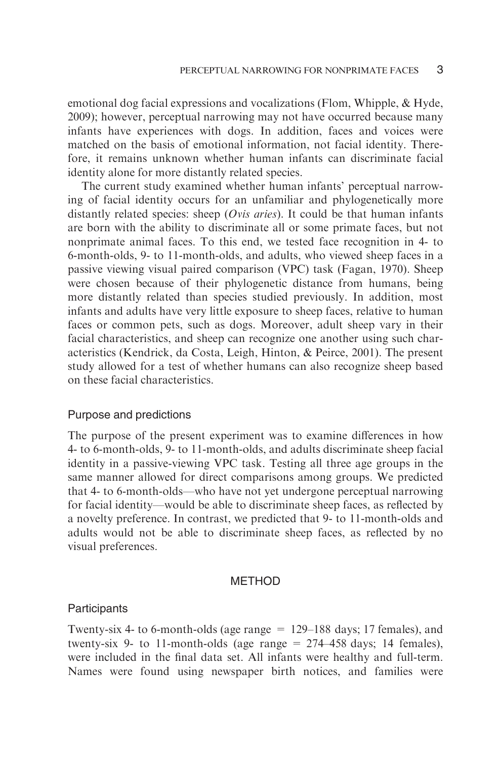emotional dog facial expressions and vocalizations (Flom, Whipple, & Hyde, 2009); however, perceptual narrowing may not have occurred because many infants have experiences with dogs. In addition, faces and voices were matched on the basis of emotional information, not facial identity. Therefore, it remains unknown whether human infants can discriminate facial identity alone for more distantly related species.

The current study examined whether human infants' perceptual narrowing of facial identity occurs for an unfamiliar and phylogenetically more distantly related species: sheep ( $Ovis\ arises$ ). It could be that human infants are born with the ability to discriminate all or some primate faces, but not nonprimate animal faces. To this end, we tested face recognition in 4- to 6-month-olds, 9- to 11-month-olds, and adults, who viewed sheep faces in a passive viewing visual paired comparison (VPC) task (Fagan, 1970). Sheep were chosen because of their phylogenetic distance from humans, being more distantly related than species studied previously. In addition, most infants and adults have very little exposure to sheep faces, relative to human faces or common pets, such as dogs. Moreover, adult sheep vary in their facial characteristics, and sheep can recognize one another using such characteristics (Kendrick, da Costa, Leigh, Hinton, & Peirce, 2001). The present study allowed for a test of whether humans can also recognize sheep based on these facial characteristics.

#### Purpose and predictions

The purpose of the present experiment was to examine differences in how 4- to 6-month-olds, 9- to 11-month-olds, and adults discriminate sheep facial identity in a passive-viewing VPC task. Testing all three age groups in the same manner allowed for direct comparisons among groups. We predicted that 4- to 6-month-olds—who have not yet undergone perceptual narrowing for facial identity—would be able to discriminate sheep faces, as reflected by a novelty preference. In contrast, we predicted that 9- to 11-month-olds and adults would not be able to discriminate sheep faces, as reflected by no visual preferences.

### METHOD

#### Participants

Twenty-six 4- to 6-month-olds (age range = 129–188 days; 17 females), and twenty-six 9- to 11-month-olds (age range  $= 274-458$  days; 14 females), were included in the final data set. All infants were healthy and full-term. Names were found using newspaper birth notices, and families were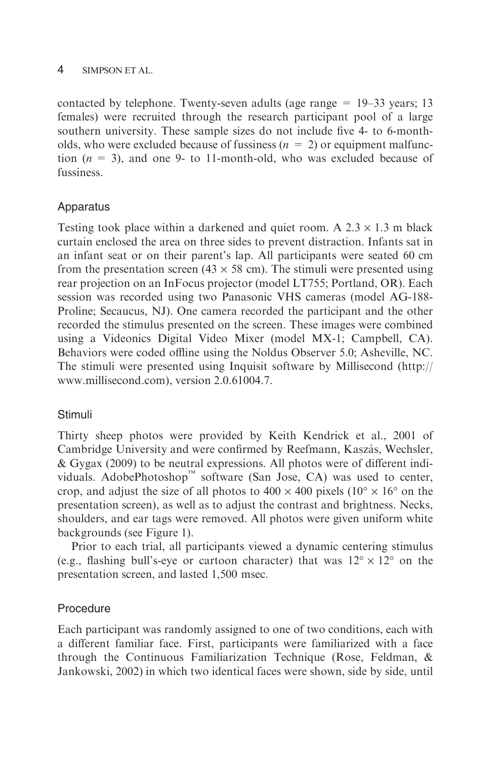contacted by telephone. Twenty-seven adults (age range  $= 19-33$  years; 13 females) were recruited through the research participant pool of a large southern university. These sample sizes do not include five 4- to 6-montholds, who were excluded because of fussiness  $(n = 2)$  or equipment malfunction  $(n = 3)$ , and one 9- to 11-month-old, who was excluded because of fussiness.

## Apparatus

Testing took place within a darkened and quiet room. A  $2.3 \times 1.3$  m black curtain enclosed the area on three sides to prevent distraction. Infants sat in an infant seat or on their parent's lap. All participants were seated 60 cm from the presentation screen (43  $\times$  58 cm). The stimuli were presented using rear projection on an InFocus projector (model LT755; Portland, OR). Each session was recorded using two Panasonic VHS cameras (model AG-188- Proline; Secaucus, NJ). One camera recorded the participant and the other recorded the stimulus presented on the screen. These images were combined using a Videonics Digital Video Mixer (model MX-1; Campbell, CA). Behaviors were coded offline using the Noldus Observer 5.0; Asheville, NC. The stimuli were presented using Inquisit software by Millisecond (http:// www.millisecond.com), version 2.0.61004.7.

## **Stimuli**

Thirty sheep photos were provided by Keith Kendrick et al., 2001 of Cambridge University and were confirmed by Reefmann, Kaszàs, Wechsler, & Gygax (2009) to be neutral expressions. All photos were of different individuals. AdobePhotoshop<sup>™</sup> software (San Jose, CA) was used to center, crop, and adjust the size of all photos to  $400 \times 400$  pixels ( $10^{\circ} \times 16^{\circ}$  on the presentation screen), as well as to adjust the contrast and brightness. Necks, shoulders, and ear tags were removed. All photos were given uniform white backgrounds (see Figure 1).

Prior to each trial, all participants viewed a dynamic centering stimulus (e.g., flashing bull's-eye or cartoon character) that was  $12^{\circ} \times 12^{\circ}$  on the presentation screen, and lasted 1,500 msec.

## Procedure

Each participant was randomly assigned to one of two conditions, each with a different familiar face. First, participants were familiarized with a face through the Continuous Familiarization Technique (Rose, Feldman, & Jankowski, 2002) in which two identical faces were shown, side by side, until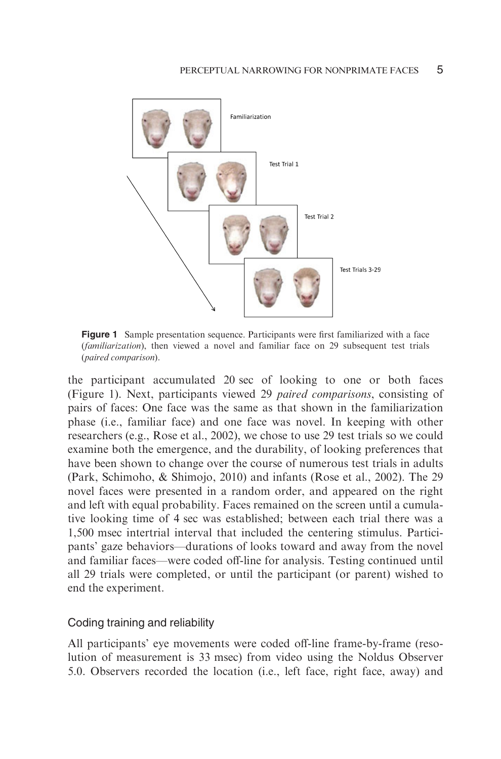

Figure 1 Sample presentation sequence. Participants were first familiarized with a face (familiarization), then viewed a novel and familiar face on 29 subsequent test trials (paired comparison).

the participant accumulated 20 sec of looking to one or both faces (Figure 1). Next, participants viewed 29 paired comparisons, consisting of pairs of faces: One face was the same as that shown in the familiarization phase (i.e., familiar face) and one face was novel. In keeping with other researchers (e.g., Rose et al., 2002), we chose to use 29 test trials so we could examine both the emergence, and the durability, of looking preferences that have been shown to change over the course of numerous test trials in adults (Park, Schimoho, & Shimojo, 2010) and infants (Rose et al., 2002). The 29 novel faces were presented in a random order, and appeared on the right and left with equal probability. Faces remained on the screen until a cumulative looking time of 4 sec was established; between each trial there was a 1,500 msec intertrial interval that included the centering stimulus. Participants' gaze behaviors—durations of looks toward and away from the novel and familiar faces—were coded off-line for analysis. Testing continued until all 29 trials were completed, or until the participant (or parent) wished to end the experiment.

#### Coding training and reliability

All participants' eye movements were coded off-line frame-by-frame (resolution of measurement is 33 msec) from video using the Noldus Observer 5.0. Observers recorded the location (i.e., left face, right face, away) and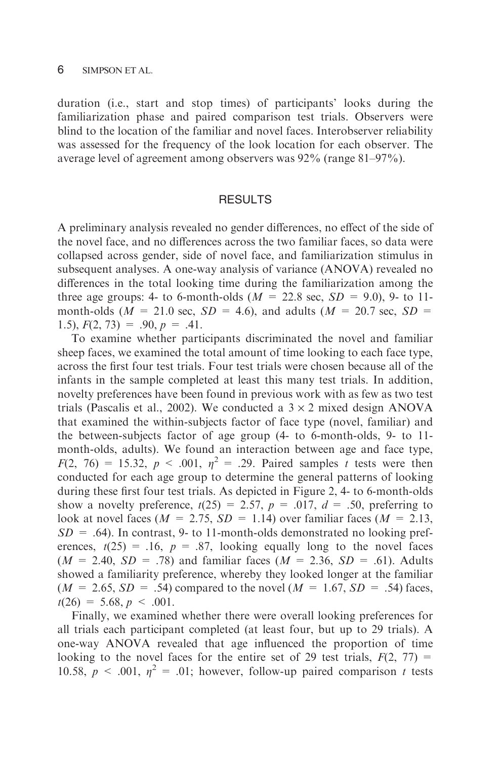duration (i.e., start and stop times) of participants' looks during the familiarization phase and paired comparison test trials. Observers were blind to the location of the familiar and novel faces. Interobserver reliability was assessed for the frequency of the look location for each observer. The average level of agreement among observers was 92% (range 81–97%).

#### RESULTS

A preliminary analysis revealed no gender differences, no effect of the side of the novel face, and no differences across the two familiar faces, so data were collapsed across gender, side of novel face, and familiarization stimulus in subsequent analyses. A one-way analysis of variance (ANOVA) revealed no differences in the total looking time during the familiarization among the three age groups: 4- to 6-month-olds ( $M = 22.8$  sec,  $SD = 9.0$ ), 9- to 11month-olds ( $M = 21.0$  sec,  $SD = 4.6$ ), and adults ( $M = 20.7$  sec,  $SD =$ 1.5),  $F(2, 73) = .90, p = .41$ .

To examine whether participants discriminated the novel and familiar sheep faces, we examined the total amount of time looking to each face type, across the first four test trials. Four test trials were chosen because all of the infants in the sample completed at least this many test trials. In addition, novelty preferences have been found in previous work with as few as two test trials (Pascalis et al., 2002). We conducted a  $3 \times 2$  mixed design ANOVA that examined the within-subjects factor of face type (novel, familiar) and the between-subjects factor of age group (4- to 6-month-olds, 9- to 11 month-olds, adults). We found an interaction between age and face type,  $F(2, 76) = 15.32, p < .001, \eta^2 = .29$ . Paired samples t tests were then conducted for each age group to determine the general patterns of looking during these first four test trials. As depicted in Figure 2, 4- to 6-month-olds show a novelty preference,  $t(25) = 2.57$ ,  $p = .017$ ,  $d = .50$ , preferring to look at novel faces ( $M = 2.75$ ,  $SD = 1.14$ ) over familiar faces ( $M = 2.13$ ,  $SD = .64$ ). In contrast, 9- to 11-month-olds demonstrated no looking preferences,  $t(25) = .16$ ,  $p = .87$ , looking equally long to the novel faces  $(M = 2.40, SD = .78)$  and familiar faces  $(M = 2.36, SD = .61)$ . Adults showed a familiarity preference, whereby they looked longer at the familiar  $(M = 2.65, SD = .54)$  compared to the novel  $(M = 1.67, SD = .54)$  faces,  $t(26) = 5.68, p < .001.$ 

Finally, we examined whether there were overall looking preferences for all trials each participant completed (at least four, but up to 29 trials). A one-way ANOVA revealed that age influenced the proportion of time looking to the novel faces for the entire set of 29 test trials,  $F(2, 77) =$ 10.58,  $p \le 0.001$ ,  $\eta^2 = 0.01$ ; however, follow-up paired comparison t tests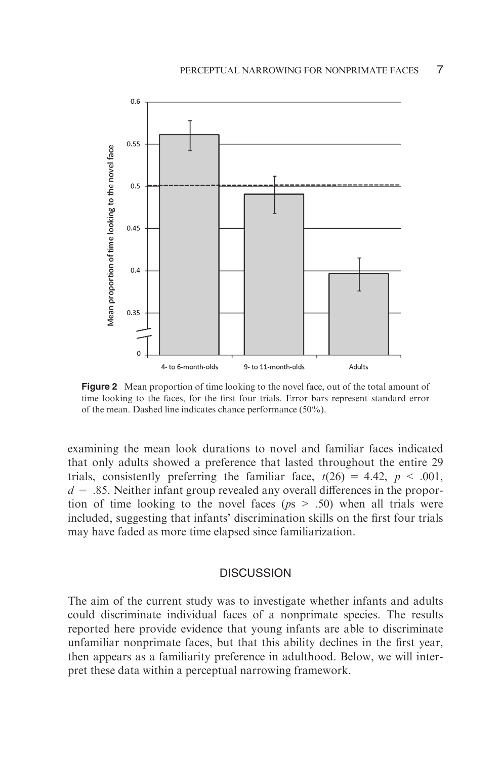

**Figure 2** Mean proportion of time looking to the novel face, out of the total amount of time looking to the faces, for the first four trials. Error bars represent standard error of the mean. Dashed line indicates chance performance (50%).

examining the mean look durations to novel and familiar faces indicated that only adults showed a preference that lasted throughout the entire 29 trials, consistently preferring the familiar face,  $t(26) = 4.42$ ,  $p < .001$ ,  $d = 0.85$ . Neither infant group revealed any overall differences in the proportion of time looking to the novel faces ( $ps > .50$ ) when all trials were included, suggesting that infants' discrimination skills on the first four trials may have faded as more time elapsed since familiarization.

#### **DISCUSSION**

The aim of the current study was to investigate whether infants and adults could discriminate individual faces of a nonprimate species. The results reported here provide evidence that young infants are able to discriminate unfamiliar nonprimate faces, but that this ability declines in the first year, then appears as a familiarity preference in adulthood. Below, we will interpret these data within a perceptual narrowing framework.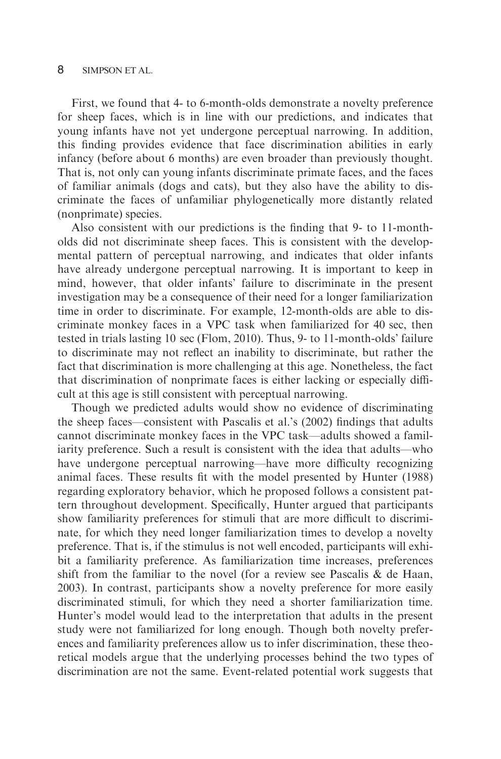#### 8 SIMPSON ET AL.

First, we found that 4- to 6-month-olds demonstrate a novelty preference for sheep faces, which is in line with our predictions, and indicates that young infants have not yet undergone perceptual narrowing. In addition, this finding provides evidence that face discrimination abilities in early infancy (before about 6 months) are even broader than previously thought. That is, not only can young infants discriminate primate faces, and the faces of familiar animals (dogs and cats), but they also have the ability to discriminate the faces of unfamiliar phylogenetically more distantly related (nonprimate) species.

Also consistent with our predictions is the finding that 9- to 11-montholds did not discriminate sheep faces. This is consistent with the developmental pattern of perceptual narrowing, and indicates that older infants have already undergone perceptual narrowing. It is important to keep in mind, however, that older infants' failure to discriminate in the present investigation may be a consequence of their need for a longer familiarization time in order to discriminate. For example, 12-month-olds are able to discriminate monkey faces in a VPC task when familiarized for 40 sec, then tested in trials lasting 10 sec (Flom, 2010). Thus, 9- to 11-month-olds' failure to discriminate may not reflect an inability to discriminate, but rather the fact that discrimination is more challenging at this age. Nonetheless, the fact that discrimination of nonprimate faces is either lacking or especially difficult at this age is still consistent with perceptual narrowing.

Though we predicted adults would show no evidence of discriminating the sheep faces—consistent with Pascalis et al.'s (2002) findings that adults cannot discriminate monkey faces in the VPC task—adults showed a familiarity preference. Such a result is consistent with the idea that adults—who have undergone perceptual narrowing—have more difficulty recognizing animal faces. These results fit with the model presented by Hunter (1988) regarding exploratory behavior, which he proposed follows a consistent pattern throughout development. Specifically, Hunter argued that participants show familiarity preferences for stimuli that are more difficult to discriminate, for which they need longer familiarization times to develop a novelty preference. That is, if the stimulus is not well encoded, participants will exhibit a familiarity preference. As familiarization time increases, preferences shift from the familiar to the novel (for a review see Pascalis  $\&$  de Haan, 2003). In contrast, participants show a novelty preference for more easily discriminated stimuli, for which they need a shorter familiarization time. Hunter's model would lead to the interpretation that adults in the present study were not familiarized for long enough. Though both novelty preferences and familiarity preferences allow us to infer discrimination, these theoretical models argue that the underlying processes behind the two types of discrimination are not the same. Event-related potential work suggests that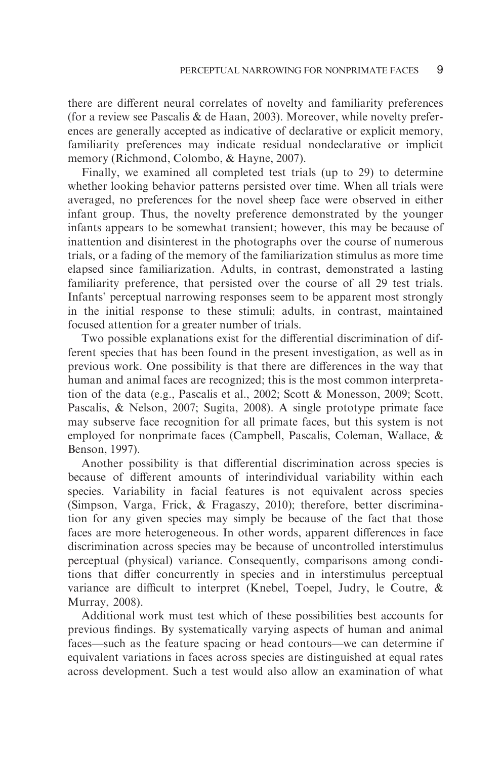there are different neural correlates of novelty and familiarity preferences (for a review see Pascalis & de Haan, 2003). Moreover, while novelty preferences are generally accepted as indicative of declarative or explicit memory, familiarity preferences may indicate residual nondeclarative or implicit memory (Richmond, Colombo, & Hayne, 2007).

Finally, we examined all completed test trials (up to 29) to determine whether looking behavior patterns persisted over time. When all trials were averaged, no preferences for the novel sheep face were observed in either infant group. Thus, the novelty preference demonstrated by the younger infants appears to be somewhat transient; however, this may be because of inattention and disinterest in the photographs over the course of numerous trials, or a fading of the memory of the familiarization stimulus as more time elapsed since familiarization. Adults, in contrast, demonstrated a lasting familiarity preference, that persisted over the course of all 29 test trials. Infants' perceptual narrowing responses seem to be apparent most strongly in the initial response to these stimuli; adults, in contrast, maintained focused attention for a greater number of trials.

Two possible explanations exist for the differential discrimination of different species that has been found in the present investigation, as well as in previous work. One possibility is that there are differences in the way that human and animal faces are recognized; this is the most common interpretation of the data (e.g., Pascalis et al., 2002; Scott & Monesson, 2009; Scott, Pascalis, & Nelson, 2007; Sugita, 2008). A single prototype primate face may subserve face recognition for all primate faces, but this system is not employed for nonprimate faces (Campbell, Pascalis, Coleman, Wallace, & Benson, 1997).

Another possibility is that differential discrimination across species is because of different amounts of interindividual variability within each species. Variability in facial features is not equivalent across species (Simpson, Varga, Frick, & Fragaszy, 2010); therefore, better discrimination for any given species may simply be because of the fact that those faces are more heterogeneous. In other words, apparent differences in face discrimination across species may be because of uncontrolled interstimulus perceptual (physical) variance. Consequently, comparisons among conditions that differ concurrently in species and in interstimulus perceptual variance are difficult to interpret (Knebel, Toepel, Judry, le Coutre, & Murray, 2008).

Additional work must test which of these possibilities best accounts for previous findings. By systematically varying aspects of human and animal faces—such as the feature spacing or head contours—we can determine if equivalent variations in faces across species are distinguished at equal rates across development. Such a test would also allow an examination of what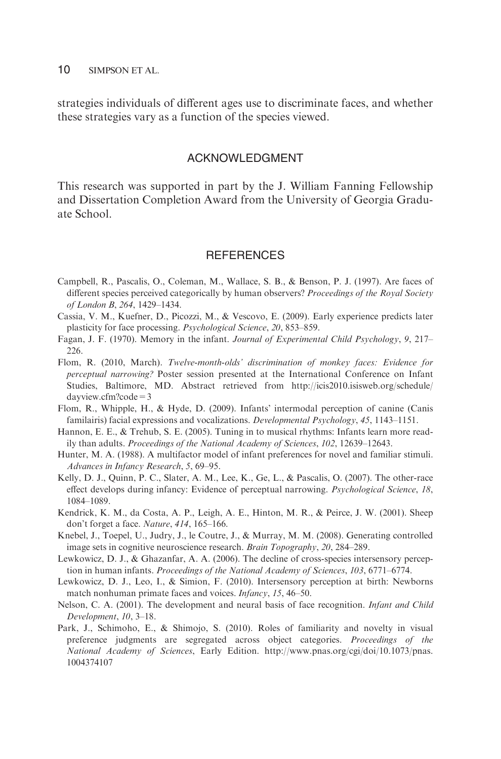#### 10 SIMPSON ET AL.

strategies individuals of different ages use to discriminate faces, and whether these strategies vary as a function of the species viewed.

#### ACKNOWLEDGMENT

This research was supported in part by the J. William Fanning Fellowship and Dissertation Completion Award from the University of Georgia Graduate School.

#### **REFERENCES**

- Campbell, R., Pascalis, O., Coleman, M., Wallace, S. B., & Benson, P. J. (1997). Are faces of different species perceived categorically by human observers? Proceedings of the Royal Society of London B, 264, 1429–1434.
- Cassia, V. M., Kuefner, D., Picozzi, M., & Vescovo, E. (2009). Early experience predicts later plasticity for face processing. Psychological Science, 20, 853–859.
- Fagan, J. F. (1970). Memory in the infant. Journal of Experimental Child Psychology, 9, 217– 226.
- Flom, R. (2010, March). Twelve-month-olds' discrimination of monkey faces: Evidence for perceptual narrowing? Poster session presented at the International Conference on Infant Studies, Baltimore, MD. Abstract retrieved from http://icis2010.isisweb.org/schedule/ dayview.cfm?code=3
- Flom, R., Whipple, H., & Hyde, D. (2009). Infants' intermodal perception of canine (Canis familairis) facial expressions and vocalizations. Developmental Psychology, 45, 1143–1151.
- Hannon, E. E., & Trehub, S. E. (2005). Tuning in to musical rhythms: Infants learn more readily than adults. Proceedings of the National Academy of Sciences, 102, 12639–12643.
- Hunter, M. A. (1988). A multifactor model of infant preferences for novel and familiar stimuli. Advances in Infancy Research, 5, 69–95.
- Kelly, D. J., Quinn, P. C., Slater, A. M., Lee, K., Ge, L., & Pascalis, O. (2007). The other-race effect develops during infancy: Evidence of perceptual narrowing. Psychological Science, 18, 1084–1089.
- Kendrick, K. M., da Costa, A. P., Leigh, A. E., Hinton, M. R., & Peirce, J. W. (2001). Sheep don't forget a face. Nature, 414, 165–166.
- Knebel, J., Toepel, U., Judry, J., le Coutre, J., & Murray, M. M. (2008). Generating controlled image sets in cognitive neuroscience research. Brain Topography, 20, 284–289.
- Lewkowicz, D. J., & Ghazanfar, A. A. (2006). The decline of cross-species intersensory perception in human infants. Proceedings of the National Academy of Sciences, 103, 6771–6774.
- Lewkowicz, D. J., Leo, I., & Simion, F. (2010). Intersensory perception at birth: Newborns match nonhuman primate faces and voices. Infancy, 15, 46-50.
- Nelson, C. A. (2001). The development and neural basis of face recognition. *Infant and Child* Development, 10, 3–18.
- Park, J., Schimoho, E., & Shimojo, S. (2010). Roles of familiarity and novelty in visual preference judgments are segregated across object categories. Proceedings of the National Academy of Sciences, Early Edition. http://www.pnas.org/cgi/doi/10.1073/pnas. 1004374107